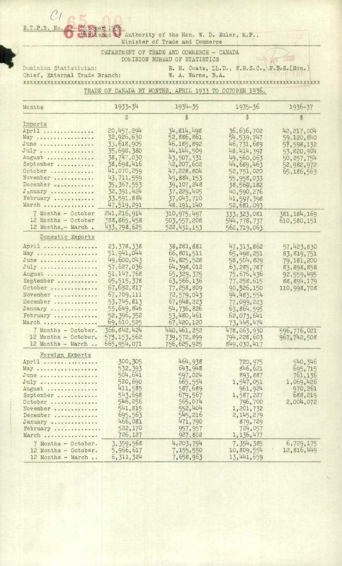## E.T.P.B. No. 1 - October 1936.<br>Fublished by Authority of the Hon. W. D. Euler, M.P., Minister of Trade and Commerce

DEPARTMENT OF TRADE AND COMMERCE - CANADA

Dominion Statistician: Chief, External Trade Branch:

**ILUN DAT 1938** DOMINION BUREAU OF STATISTICS

R. H. Coats, LL.D., F.R.S.C., F.S.S.(Hon.)<br>W. A. Warne, B.A.

TRADE OF CANADA BY MONTHS, APRIL 1933 TO OCTOBER 1936.

| Months                          | $1933 - 34$              | 1934-35                  | $1935 - 36$                | 1936-37            |
|---------------------------------|--------------------------|--------------------------|----------------------------|--------------------|
|                                 | Ŝ                        | \$                       | Ŝ                          |                    |
| Imports<br>April occasionalesse | 20,457,294               | 34,814,498               | 36, 636, 702               | 42, 217, 004       |
| May coorrespondences.           | 32,926,630               | 52,886,861               | 54, 539, 747               | 59,120,840         |
| June                            | 33, 618, 905             | 46, 185, 892             | 46.731,689                 | 57,598,132         |
| July                            | 35,698,380               | 44, 144, 509             | 48.414,397                 | 53,820,904         |
| August                          | 38,747,030               | 43,507,331               | 49,560,063                 | 50, 257, 754       |
| September                       | 38,698,416               | 12,207,602               | 44,689,463                 | 52,982,972         |
| October                         | 41,070,259               | 47,228,804               | 52,751,020                 | 65,186,563         |
| November                        | 43, 711, 559             | 49,884,153               | 55,958,033                 |                    |
| December assessessesses         | 35, 367, 553             | 39,107,248               | 38,569,182                 |                    |
| January                         | 32, 391, 424             | 37,229,405               | 40,590,276                 |                    |
| February                        | 33,591,884               | 37,043,710               | 41,597,398                 |                    |
| March                           | 47,519,291               | 48, 191, 140             | 52,681,093                 |                    |
| 7 Months - October              | 241, 216, 914            | 310,975.497              | 333, 323, 081              | 381, 184, 169      |
| 12 Months - October             | 38,865,458               | 503,557,208              | 544,778,737                | 610,580,151        |
| 12 Months, - March.             | 433,798,625              | 522, 431, 153            | 562,719,063                |                    |
| Domestic Exports                |                          |                          |                            |                    |
| April <i>postage contrast</i>   | 23, 378, 338             | 38,281,881               | 47, 313, 862               | 57,423,830         |
| May observe                     | 51.941,044               | 66,801,511               | 65,498,251                 | 83, 819, 751       |
| June                            | 49.600.043               | 64, 825, 528             | 58,504,829                 | 79, 181, 200       |
| July                            | 57,627,036               | 64,398,012               | 63,285,787                 | 83,898,858         |
| August                          | 51.147,768               | 65, 329, 375             | 75,676,436                 | 92, 559, 495       |
| September                       | 65,515.378               | 63,566,136               | 77, 258, 615               | 88, 894, 179       |
| October                         | 67, 632, 817             | 77,258,809               | 90,526,150                 | 110,998,708        |
| November                        | 67,709,111               | 72,579,043               | 94, 483, 554               |                    |
| December                        | 53,745,813               | 67,948,223               | 77,099,223                 |                    |
| January                         | 55,649,846               | 54,736,826               | 63,864,595                 |                    |
| February                        | 52,396,352<br>69,610,525 | 53,480,461<br>67,420,120 | 62,073,641                 |                    |
| March<br>7 Months - October.    | 366, 842, 424            | 440,461,252              | 73, 445, 474               |                    |
| 12 Months - October.            | 575, 153, 562            | 739,572,899              | 478,063,930                | 596,776,021        |
| 12 Months - March               | 665,954,071              | 756, 625, 925            | 794,228,603<br>849,030,417 | 967,742,508        |
|                                 |                          |                          |                            |                    |
| Foreign Exports                 |                          |                          |                            |                    |
| April onessessessesses          | 300, 305                 | 464,938<br>643,948       | 720, 975                   | 540, 346           |
| May<br>June                     | 532, 393<br>504,641      | 597,024                  | 846,621<br>893,887         | 695,715<br>761,136 |
| July                            | 520,690                  | 665,554                  | 1,547,051                  | 1,069,426          |
| August                          | 411,585                  | 587,689                  | 961, 924                   | 970,261            |
| September                       | 543,698                  | 679,567                  | 1,587,227                  | 688,219            |
| October                         | 546,256                  | 565,074                  | 796,700                    | 2,004,072          |
| November                        | 541,815                  | 552,404                  | 1,201,732                  |                    |
| December                        | 695,563                  | 545,216                  | 2, 145, 279                |                    |
| January                         | 466,081                  | 471,790                  | 879,729                    |                    |
| February                        | 522,170                  | 957,957                  | 724,057                    |                    |
| March                           | 726,127                  | 927,802                  | 1, 136, 477                |                    |
| 7 Months - October.             | 3, 359, 568              | 4,203,794                | 7.354,385                  | 6,729,175          |
| 12 Months - October.            | 5,966,617                | 7,155,550                | 10,809,554                 | 12, 816, 449       |
| 12 Months - March               | 6, 311, 324              | 7,658,963                | 13,441,659                 |                    |

 $\ell$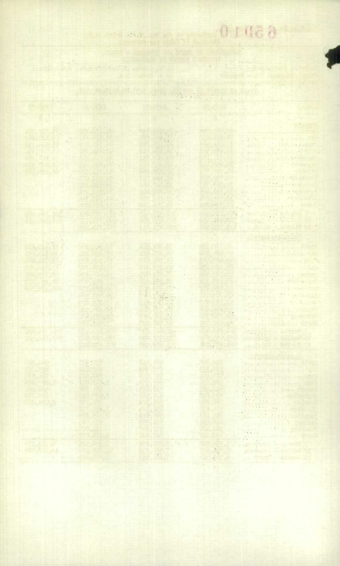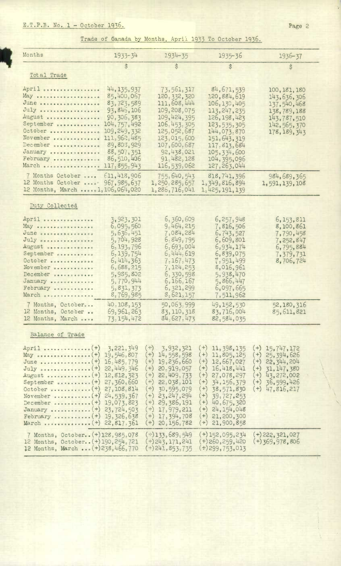## E.T.P.B. No. 1 - October 1936. Page 2

| Trade of Canada by Months, April 1933 To October 1936.                                                                                                                                                                                                                                                                                                                                                                    |                                                                                                                                                                                        |                                                                                                                                                                                                                                                                                               |                                                                                                                                                                                                                                                                                      |                                                                                                                                                                   |  |  |
|---------------------------------------------------------------------------------------------------------------------------------------------------------------------------------------------------------------------------------------------------------------------------------------------------------------------------------------------------------------------------------------------------------------------------|----------------------------------------------------------------------------------------------------------------------------------------------------------------------------------------|-----------------------------------------------------------------------------------------------------------------------------------------------------------------------------------------------------------------------------------------------------------------------------------------------|--------------------------------------------------------------------------------------------------------------------------------------------------------------------------------------------------------------------------------------------------------------------------------------|-------------------------------------------------------------------------------------------------------------------------------------------------------------------|--|--|
| Months                                                                                                                                                                                                                                                                                                                                                                                                                    | $1933 - 34$                                                                                                                                                                            | 1934-35                                                                                                                                                                                                                                                                                       | $1935 - 36$                                                                                                                                                                                                                                                                          | $1936 - 37$                                                                                                                                                       |  |  |
| Total Trade                                                                                                                                                                                                                                                                                                                                                                                                               | \$                                                                                                                                                                                     | \$                                                                                                                                                                                                                                                                                            | \$                                                                                                                                                                                                                                                                                   | $\ddot{s}$                                                                                                                                                        |  |  |
| April corrective<br>May<br>June<br>July<br>August<br>September<br>October<br>November<br>December<br>January<br>February<br>March                                                                                                                                                                                                                                                                                         | 44, 135, 937<br>85,400,067<br>83, 723, 589<br>93,845,106<br>90, 306, 383<br>104, 757, 492<br>109, 249, 332<br>111, 962, 485<br>89,803,929<br>88,507,351<br>86,510,436<br>117, 855, 943 | 73,561,317<br>120, 332, 320<br>111, 608, 444<br>109, 208, 075<br>109, 424, 395<br>106, 453, 305<br>125,052,687<br>123,015,600<br>107,600,687<br>92,438,021<br>91, 482, 128<br>116, 539, 062                                                                                                   | 84, 671, 539<br>120,884,619<br>106, 130, 405<br>113, 247, 235<br>126, 198, 423<br>123,535,305<br>144,073.870<br>151, 643, 319<br>117.813,684<br>105, 334, 600<br>104, 395, 096<br>127, 263, 044                                                                                      | 100, 181, 180<br>143, 636, 306<br>137,540,468<br>138,789,188<br>143,787,510<br>142, 565, 370<br>178, 189, 343                                                     |  |  |
| 7 Months October<br>12 Months October '<br>12 Months, March 1, 106, 064, 020                                                                                                                                                                                                                                                                                                                                              | 611, 418, 906<br>967, 985, 637                                                                                                                                                         | 755, 640, 543<br>1, 250, 285, 657<br>1,286,716,041                                                                                                                                                                                                                                            | 818, 741, 396<br>1, 349, 816, 894<br>1,425,191,139                                                                                                                                                                                                                                   | 984, 689, 365<br>1,591,139,108                                                                                                                                    |  |  |
| Duty Collected                                                                                                                                                                                                                                                                                                                                                                                                            |                                                                                                                                                                                        |                                                                                                                                                                                                                                                                                               |                                                                                                                                                                                                                                                                                      |                                                                                                                                                                   |  |  |
| April<br>May<br>June <i>especial</i> eserre<br>July obossessessesses<br>August<br>September<br>October<br>November<br>December<br>January<br>February<br>March                                                                                                                                                                                                                                                            | 3,923,301<br>6.095,560<br>5, 636, 451<br>5,704,928<br>6, 193, 796<br>6.139.754<br>6,414,363<br>6,688,215<br>5,985,802<br>5.770.944<br>5,831,373<br>8,769,985                           | 6.360,609<br>9.464.215<br>7,084,284<br>6.849.795<br>6.693.004<br>6.444.619<br>7.167.473<br>7,124,253<br>6, 330, 598<br>6, 166, 167<br>6, 321, 299<br>8,621,157                                                                                                                                | 6,257,948<br>7,816,506<br>6,743,527<br>6,609,801<br>6,934,174<br>6,839,075<br>,951,499<br>8,016,961<br>5,938,470<br>5,866,447<br>6,097,665<br>7,511,962                                                                                                                              | 6, 153, 811<br>8,100,861<br>7,790,458<br>7,252,847<br>6,795,884<br>7,379,731<br>8,706,724                                                                         |  |  |
| 7 Months, October<br>12 Months, October<br>12 Months, March                                                                                                                                                                                                                                                                                                                                                               | 40, 108, 153<br>69,961,263<br>73.154,472                                                                                                                                               | 50,063,999<br>83, 110, 318<br>84,627,473                                                                                                                                                                                                                                                      | 49, 152, 530<br>83,716,004<br>82,584,035                                                                                                                                                                                                                                             | 52,180,316<br>85, 611, 821                                                                                                                                        |  |  |
| Balance of Trade                                                                                                                                                                                                                                                                                                                                                                                                          |                                                                                                                                                                                        |                                                                                                                                                                                                                                                                                               |                                                                                                                                                                                                                                                                                      |                                                                                                                                                                   |  |  |
| $April \dots \dots \dots \dots \dots (t)$<br>May $\circ \circ \circ \circ \circ \circ \circ \circ \circ \circ \circ \circ \circ \circ \circ (+)$<br>June $(+)$<br>July $\cos \theta$ . $\cdots$ . $(+)$<br>$August \dots  \tag{+}$<br>September $\ldots$ $(+)$<br>October $\ldots \ldots \ldots (+)$<br>November $(+)$<br>December (+) $19,073,823$<br>January $(+)$<br>February (+) $19,326,638$<br>March (+) 22,817,361 | 3,221,349<br>19, 546, 807<br>16, 485, 779<br>22,449,346<br>12, 812, 323<br>27,360,660<br>27,108,814<br>24, 539, 367<br>23,724,503                                                      | $($ + $)$<br>3,932,321<br>$(+)$<br>14,558,598<br>$(\ast)$<br>19,236,660<br>$(+)$<br>20, 919, 057<br>22,409,733<br>$(+)$<br>$(+)$<br>22,038,101<br>$(+)$<br>30,595,079<br>23, 247, 294<br>$(+)$<br>29, 386, 191<br>$(+)$<br>17,979,211<br>$+)$<br>17, 394, 708<br>$+$<br>20, 156, 782<br>$(+)$ | $(+)$<br>11, 398, 135<br>$(+)$<br>11,805,125<br>$(+)$<br>12,667,027<br>16, 418, 441<br>$(+)$<br>$(+)$<br>27,078,297<br>$(+)$<br>34, 156, 379<br>$(+)$ 38,571,830<br>$(+)$ 39,727,253<br>40, 675, 320<br>$(+)$<br>24, 154, 048<br>$(+)$<br>21,200,300<br>$(+)$<br>21,900,858<br>$(+)$ | $(+)$ 15,747,172<br>25, 394, 626<br>$(+)$<br>22, 344, 204<br>$(+)$<br>31, 147, 380<br>$(+)$<br>43, 272, 002<br>$(+)$<br>$(+)$ 36, 599, 426<br>47,816,217<br>$(+)$ |  |  |